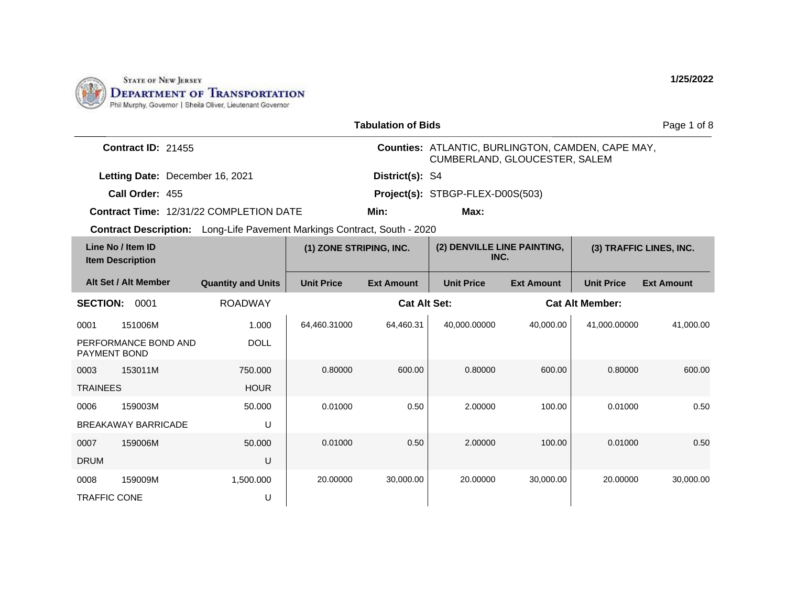

|                                              |                                 |                                                                          |                         | <b>Tabulation of Bids</b> |                                                                                    |                   |                        | Page 1 of 8             |
|----------------------------------------------|---------------------------------|--------------------------------------------------------------------------|-------------------------|---------------------------|------------------------------------------------------------------------------------|-------------------|------------------------|-------------------------|
|                                              | Contract ID: 21455              |                                                                          |                         |                           | Counties: ATLANTIC, BURLINGTON, CAMDEN, CAPE MAY,<br>CUMBERLAND, GLOUCESTER, SALEM |                   |                        |                         |
|                                              | Letting Date: December 16, 2021 |                                                                          |                         | District(s): S4           |                                                                                    |                   |                        |                         |
|                                              | Call Order: 455                 |                                                                          |                         |                           | Project(s): STBGP-FLEX-D00S(503)                                                   |                   |                        |                         |
|                                              |                                 | Contract Time: 12/31/22 COMPLETION DATE                                  |                         | Min:                      | Max:                                                                               |                   |                        |                         |
|                                              |                                 | Contract Description: Long-Life Pavement Markings Contract, South - 2020 |                         |                           |                                                                                    |                   |                        |                         |
| Line No / Item ID<br><b>Item Description</b> |                                 |                                                                          | (1) ZONE STRIPING, INC. |                           | (2) DENVILLE LINE PAINTING,<br>INC.                                                |                   |                        | (3) TRAFFIC LINES, INC. |
|                                              | Alt Set / Alt Member            | <b>Quantity and Units</b>                                                | <b>Unit Price</b>       | <b>Ext Amount</b>         | <b>Unit Price</b>                                                                  | <b>Ext Amount</b> | <b>Unit Price</b>      | <b>Ext Amount</b>       |
| <b>SECTION:</b>                              | 0001                            | <b>ROADWAY</b>                                                           |                         | <b>Cat Alt Set:</b>       |                                                                                    |                   | <b>Cat Alt Member:</b> |                         |
| 0001                                         | 151006M                         | 1.000                                                                    | 64,460.31000            | 64,460.31                 | 40,000.00000                                                                       | 40,000.00         | 41,000.00000           | 41,000.00               |
| <b>PAYMENT BOND</b>                          | PERFORMANCE BOND AND            | <b>DOLL</b>                                                              |                         |                           |                                                                                    |                   |                        |                         |
| 0003                                         | 153011M                         | 750,000                                                                  | 0.80000                 | 600.00                    | 0.80000                                                                            | 600.00            | 0.80000                | 600.00                  |
| <b>TRAINEES</b>                              |                                 | <b>HOUR</b>                                                              |                         |                           |                                                                                    |                   |                        |                         |
| 0006                                         | 159003M                         | 50.000                                                                   | 0.01000                 | 0.50                      | 2.00000                                                                            | 100.00            | 0.01000                | 0.50                    |
|                                              | <b>BREAKAWAY BARRICADE</b>      | U                                                                        |                         |                           |                                                                                    |                   |                        |                         |
| 0007                                         | 159006M                         | 50,000                                                                   | 0.01000                 | 0.50                      | 2.00000                                                                            | 100.00            | 0.01000                | 0.50                    |
| <b>DRUM</b>                                  |                                 | U                                                                        |                         |                           |                                                                                    |                   |                        |                         |
| 0008                                         | 159009M                         | 1,500.000                                                                | 20.00000                | 30,000.00                 | 20.00000                                                                           | 30,000.00         | 20.00000               | 30,000.00               |
| <b>TRAFFIC CONE</b>                          |                                 | U                                                                        |                         |                           |                                                                                    |                   |                        |                         |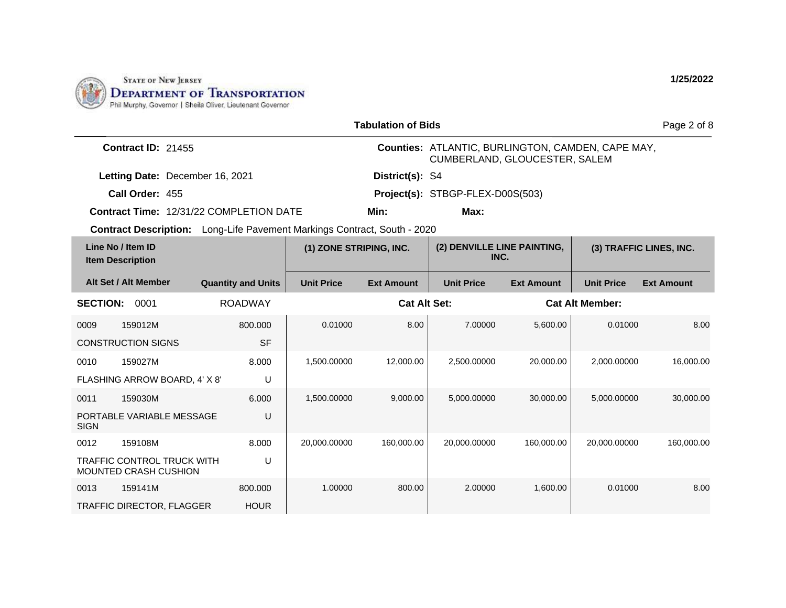

| <b>Tabulation of Bids</b>                    |                                                            |                                                                                 |                         |                     |                                                                                           |                   |                        | Page 2 of 8             |
|----------------------------------------------|------------------------------------------------------------|---------------------------------------------------------------------------------|-------------------------|---------------------|-------------------------------------------------------------------------------------------|-------------------|------------------------|-------------------------|
|                                              | <b>Contract ID: 21455</b>                                  |                                                                                 |                         |                     | <b>Counties: ATLANTIC, BURLINGTON, CAMDEN, CAPE MAY,</b><br>CUMBERLAND, GLOUCESTER, SALEM |                   |                        |                         |
|                                              | Letting Date: December 16, 2021                            |                                                                                 |                         | District(s): S4     |                                                                                           |                   |                        |                         |
|                                              | Call Order: 455                                            |                                                                                 |                         |                     | Project(s): STBGP-FLEX-D00S(503)                                                          |                   |                        |                         |
|                                              |                                                            | <b>Contract Time: 12/31/22 COMPLETION DATE</b>                                  |                         | Min:                | Max:                                                                                      |                   |                        |                         |
|                                              |                                                            | <b>Contract Description:</b> Long-Life Pavement Markings Contract, South - 2020 |                         |                     |                                                                                           |                   |                        |                         |
| Line No / Item ID<br><b>Item Description</b> |                                                            |                                                                                 | (1) ZONE STRIPING, INC. |                     | (2) DENVILLE LINE PAINTING,<br>INC.                                                       |                   |                        | (3) TRAFFIC LINES, INC. |
| Alt Set / Alt Member                         |                                                            | <b>Quantity and Units</b>                                                       | <b>Unit Price</b>       | <b>Ext Amount</b>   | <b>Unit Price</b>                                                                         | <b>Ext Amount</b> | <b>Unit Price</b>      | <b>Ext Amount</b>       |
| <b>SECTION:</b>                              | 0001                                                       | <b>ROADWAY</b>                                                                  |                         | <b>Cat Alt Set:</b> |                                                                                           |                   | <b>Cat Alt Member:</b> |                         |
| 0009                                         | 159012M                                                    | 800.000                                                                         | 0.01000                 | 8.00                | 7.00000                                                                                   | 5,600.00          | 0.01000                | 8.00                    |
| <b>CONSTRUCTION SIGNS</b>                    |                                                            | <b>SF</b>                                                                       |                         |                     |                                                                                           |                   |                        |                         |
| 0010                                         | 159027M                                                    | 8.000                                                                           | 1,500.00000             | 12,000.00           | 2,500.00000                                                                               | 20,000.00         | 2.000.00000            | 16.000.00               |
|                                              | FLASHING ARROW BOARD, 4' X 8'                              | U                                                                               |                         |                     |                                                                                           |                   |                        |                         |
| 0011                                         | 159030M                                                    | 6.000                                                                           | 1,500.00000             | 9,000.00            | 5,000.00000                                                                               | 30,000.00         | 5,000.00000            | 30,000.00               |
| <b>SIGN</b>                                  | PORTABLE VARIABLE MESSAGE                                  | U                                                                               |                         |                     |                                                                                           |                   |                        |                         |
| 0012                                         | 159108M                                                    | 8.000                                                                           | 20,000.00000            | 160,000.00          | 20,000.00000                                                                              | 160.000.00        | 20,000.00000           | 160,000.00              |
|                                              | <b>TRAFFIC CONTROL TRUCK WITH</b><br>MOUNTED CRASH CUSHION | U                                                                               |                         |                     |                                                                                           |                   |                        |                         |
| 0013                                         | 159141M                                                    | 800,000                                                                         | 1.00000                 | 800.00              | 2.00000                                                                                   | 1,600.00          | 0.01000                | 8.00                    |
|                                              | <b>TRAFFIC DIRECTOR, FLAGGER</b>                           | <b>HOUR</b>                                                                     |                         |                     |                                                                                           |                   |                        |                         |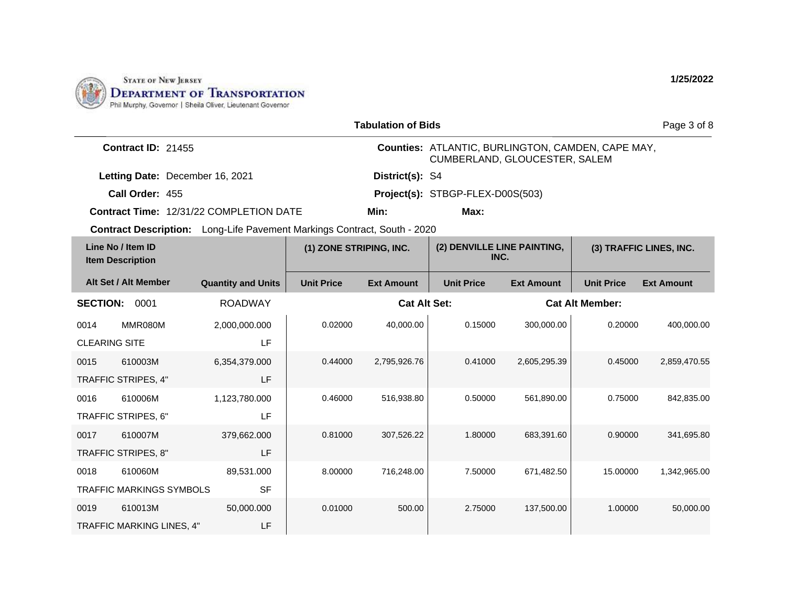

| <b>Tabulation of Bids</b><br>Page 3 of 8                                        |                           |                         |                     |                                                                                    |                   |                         |                        |  |
|---------------------------------------------------------------------------------|---------------------------|-------------------------|---------------------|------------------------------------------------------------------------------------|-------------------|-------------------------|------------------------|--|
| Contract ID: 21455                                                              |                           |                         |                     | Counties: ATLANTIC, BURLINGTON, CAMDEN, CAPE MAY,<br>CUMBERLAND, GLOUCESTER, SALEM |                   |                         |                        |  |
| Letting Date: December 16, 2021                                                 |                           |                         | District(s): S4     |                                                                                    |                   |                         |                        |  |
| Call Order: 455                                                                 |                           |                         |                     | Project(s): STBGP-FLEX-D00S(503)                                                   |                   |                         |                        |  |
| <b>Contract Time: 12/31/22 COMPLETION DATE</b>                                  |                           |                         | Min:                | Max:                                                                               |                   |                         |                        |  |
| <b>Contract Description:</b> Long-Life Pavement Markings Contract, South - 2020 |                           |                         |                     |                                                                                    |                   |                         |                        |  |
| Line No / Item ID<br><b>Item Description</b>                                    |                           | (1) ZONE STRIPING, INC. |                     | (2) DENVILLE LINE PAINTING,<br>INC.                                                |                   | (3) TRAFFIC LINES, INC. |                        |  |
| Alt Set / Alt Member                                                            | <b>Quantity and Units</b> | <b>Unit Price</b>       | <b>Ext Amount</b>   | <b>Unit Price</b>                                                                  | <b>Ext Amount</b> | <b>Unit Price</b>       | <b>Ext Amount</b>      |  |
| <b>SECTION:</b><br>0001                                                         | <b>ROADWAY</b>            |                         | <b>Cat Alt Set:</b> |                                                                                    |                   |                         | <b>Cat Alt Member:</b> |  |
| MMR080M<br>0014                                                                 | 2,000,000.000             | 0.02000                 | 40,000.00           | 0.15000                                                                            | 300,000.00        | 0.20000                 | 400,000.00             |  |
| <b>CLEARING SITE</b>                                                            | LF                        |                         |                     |                                                                                    |                   |                         |                        |  |
| 0015<br>610003M                                                                 | 6,354,379.000             | 0.44000                 | 2,795,926.76        | 0.41000                                                                            | 2,605,295.39      | 0.45000                 | 2,859,470.55           |  |
| TRAFFIC STRIPES, 4"                                                             | LF                        |                         |                     |                                                                                    |                   |                         |                        |  |
| 610006M<br>0016                                                                 | 1,123,780.000             | 0.46000                 | 516,938.80          | 0.50000                                                                            | 561,890.00        | 0.75000                 | 842,835.00             |  |
| TRAFFIC STRIPES, 6"                                                             | LF                        |                         |                     |                                                                                    |                   |                         |                        |  |
| 610007M<br>0017                                                                 | 379,662.000               | 0.81000                 | 307,526.22          | 1.80000                                                                            | 683,391.60        | 0.90000                 | 341,695.80             |  |
| TRAFFIC STRIPES, 8"                                                             | <b>LF</b>                 |                         |                     |                                                                                    |                   |                         |                        |  |
| 610060M<br>0018                                                                 | 89,531.000                | 8.00000                 | 716,248.00          | 7.50000                                                                            | 671,482.50        | 15.00000                | 1,342,965.00           |  |
| <b>TRAFFIC MARKINGS SYMBOLS</b>                                                 | <b>SF</b>                 |                         |                     |                                                                                    |                   |                         |                        |  |
| 0019<br>610013M                                                                 | 50,000.000                | 0.01000                 | 500.00              | 2.75000                                                                            | 137,500.00        | 1.00000                 | 50,000.00              |  |
| TRAFFIC MARKING LINES, 4"                                                       | LF                        |                         |                     |                                                                                    |                   |                         |                        |  |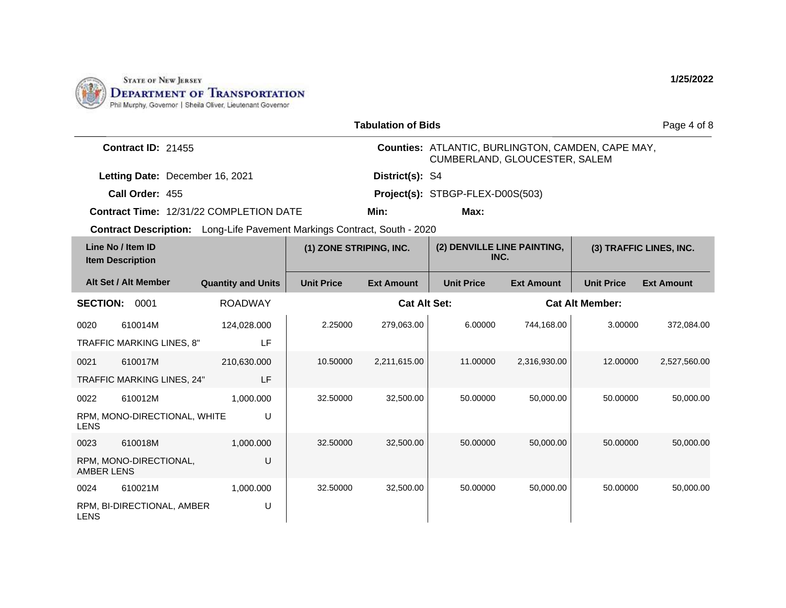

|                   | <b>Tabulation of Bids</b>                    |                                                                          |                         |                     |                                                                                    |                   |                        |                         |  |
|-------------------|----------------------------------------------|--------------------------------------------------------------------------|-------------------------|---------------------|------------------------------------------------------------------------------------|-------------------|------------------------|-------------------------|--|
|                   |                                              |                                                                          |                         |                     |                                                                                    |                   |                        | Page 4 of 8             |  |
|                   | <b>Contract ID: 21455</b>                    |                                                                          |                         |                     | Counties: ATLANTIC, BURLINGTON, CAMDEN, CAPE MAY,<br>CUMBERLAND, GLOUCESTER, SALEM |                   |                        |                         |  |
|                   | Letting Date: December 16, 2021              |                                                                          |                         | District(s): S4     |                                                                                    |                   |                        |                         |  |
|                   | Call Order: 455                              |                                                                          |                         |                     | Project(s): STBGP-FLEX-D00S(503)                                                   |                   |                        |                         |  |
|                   |                                              | <b>Contract Time: 12/31/22 COMPLETION DATE</b>                           |                         | Min:                | Max:                                                                               |                   |                        |                         |  |
|                   |                                              | Contract Description: Long-Life Pavement Markings Contract, South - 2020 |                         |                     |                                                                                    |                   |                        |                         |  |
|                   | Line No / Item ID<br><b>Item Description</b> |                                                                          | (1) ZONE STRIPING, INC. |                     | (2) DENVILLE LINE PAINTING,<br>INC.                                                |                   |                        | (3) TRAFFIC LINES, INC. |  |
|                   | Alt Set / Alt Member                         | <b>Quantity and Units</b>                                                | <b>Unit Price</b>       | <b>Ext Amount</b>   | <b>Unit Price</b>                                                                  | <b>Ext Amount</b> | <b>Unit Price</b>      | <b>Ext Amount</b>       |  |
| <b>SECTION:</b>   | 0001                                         | <b>ROADWAY</b>                                                           |                         | <b>Cat Alt Set:</b> |                                                                                    |                   | <b>Cat Alt Member:</b> |                         |  |
| 0020              | 610014M                                      | 124,028.000                                                              | 2.25000                 | 279,063.00          | 6.00000                                                                            | 744,168.00        | 3.00000                | 372,084.00              |  |
|                   | TRAFFIC MARKING LINES, 8"                    | LF                                                                       |                         |                     |                                                                                    |                   |                        |                         |  |
| 0021              | 610017M                                      | 210,630.000                                                              | 10.50000                | 2,211,615.00        | 11.00000                                                                           | 2,316,930.00      | 12.00000               | 2,527,560.00            |  |
|                   | TRAFFIC MARKING LINES, 24"                   | LF                                                                       |                         |                     |                                                                                    |                   |                        |                         |  |
| 0022              | 610012M                                      | 1.000.000                                                                | 32,50000                | 32,500.00           | 50.00000                                                                           | 50,000.00         | 50.00000               | 50,000.00               |  |
| <b>LENS</b>       | RPM, MONO-DIRECTIONAL, WHITE                 | U                                                                        |                         |                     |                                                                                    |                   |                        |                         |  |
| 0023              | 610018M                                      | 1,000.000                                                                | 32,50000                | 32,500.00           | 50.00000                                                                           | 50,000.00         | 50.00000               | 50,000.00               |  |
| <b>AMBER LENS</b> | RPM, MONO-DIRECTIONAL,                       | U                                                                        |                         |                     |                                                                                    |                   |                        |                         |  |
| 0024              | 610021M                                      | 1,000.000                                                                | 32.50000                | 32,500.00           | 50.00000                                                                           | 50,000.00         | 50.00000               | 50,000.00               |  |
| <b>LENS</b>       | RPM, BI-DIRECTIONAL, AMBER                   | U                                                                        |                         |                     |                                                                                    |                   |                        |                         |  |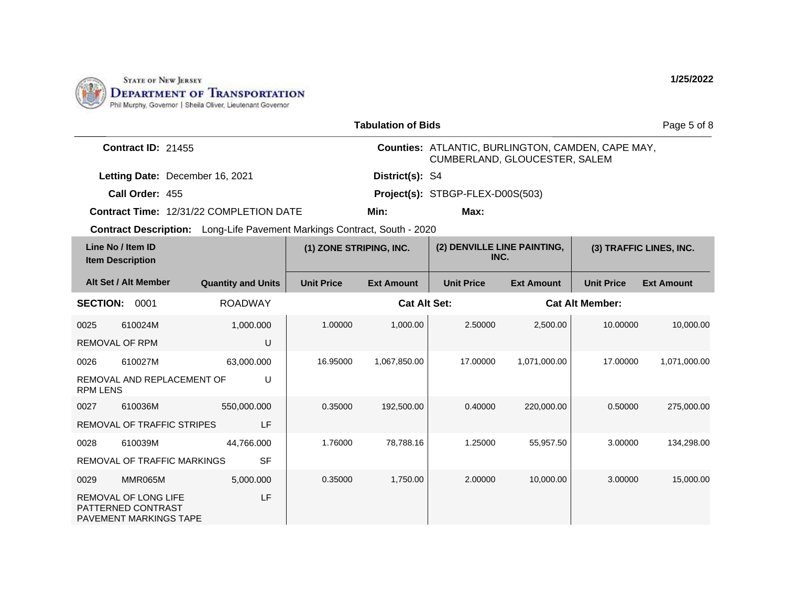

|                 |                                                                             |                                                                                 |                         | <b>Tabulation of Bids</b> |                                                                                    |                   |                        | Page 5 of 8             |
|-----------------|-----------------------------------------------------------------------------|---------------------------------------------------------------------------------|-------------------------|---------------------------|------------------------------------------------------------------------------------|-------------------|------------------------|-------------------------|
|                 | Contract ID: 21455                                                          |                                                                                 |                         |                           | Counties: ATLANTIC, BURLINGTON, CAMDEN, CAPE MAY,<br>CUMBERLAND, GLOUCESTER, SALEM |                   |                        |                         |
|                 | Letting Date: December 16, 2021                                             |                                                                                 |                         | District(s): S4           |                                                                                    |                   |                        |                         |
|                 | Call Order: 455                                                             |                                                                                 |                         |                           | Project(s): STBGP-FLEX-D00S(503)                                                   |                   |                        |                         |
|                 |                                                                             | <b>Contract Time: 12/31/22 COMPLETION DATE</b>                                  |                         | Min:                      | Max:                                                                               |                   |                        |                         |
|                 |                                                                             | <b>Contract Description:</b> Long-Life Pavement Markings Contract, South - 2020 |                         |                           |                                                                                    |                   |                        |                         |
|                 | Line No / Item ID<br><b>Item Description</b>                                |                                                                                 | (1) ZONE STRIPING, INC. |                           | (2) DENVILLE LINE PAINTING,<br>INC.                                                |                   |                        | (3) TRAFFIC LINES, INC. |
|                 | Alt Set / Alt Member                                                        | <b>Quantity and Units</b>                                                       | <b>Unit Price</b>       | <b>Ext Amount</b>         | <b>Unit Price</b>                                                                  | <b>Ext Amount</b> | <b>Unit Price</b>      | <b>Ext Amount</b>       |
| <b>SECTION:</b> | 0001                                                                        | <b>ROADWAY</b>                                                                  |                         | <b>Cat Alt Set:</b>       |                                                                                    |                   | <b>Cat Alt Member:</b> |                         |
| 0025            | 610024M                                                                     | 1,000.000                                                                       | 1.00000                 | 1,000.00                  | 2.50000                                                                            | 2,500.00          | 10.00000               | 10,000.00               |
|                 | <b>REMOVAL OF RPM</b>                                                       | U                                                                               |                         |                           |                                                                                    |                   |                        |                         |
| 0026            | 610027M                                                                     | 63,000.000                                                                      | 16.95000                | 1,067,850.00              | 17.00000                                                                           | 1,071,000.00      | 17.00000               | 1,071,000.00            |
| <b>RPM LENS</b> | REMOVAL AND REPLACEMENT OF                                                  | U                                                                               |                         |                           |                                                                                    |                   |                        |                         |
| 0027            | 610036M                                                                     | 550,000.000                                                                     | 0.35000                 | 192,500.00                | 0.40000                                                                            | 220,000.00        | 0.50000                | 275,000.00              |
|                 | REMOVAL OF TRAFFIC STRIPES                                                  | LF                                                                              |                         |                           |                                                                                    |                   |                        |                         |
| 0028            | 610039M                                                                     | 44,766.000                                                                      | 1.76000                 | 78,788.16                 | 1.25000                                                                            | 55,957.50         | 3.00000                | 134,298.00              |
|                 | REMOVAL OF TRAFFIC MARKINGS                                                 | <b>SF</b>                                                                       |                         |                           |                                                                                    |                   |                        |                         |
| 0029            | MMR065M                                                                     | 5,000.000                                                                       | 0.35000                 | 1,750.00                  | 2.00000                                                                            | 10,000.00         | 3.00000                | 15,000.00               |
|                 | <b>REMOVAL OF LONG LIFE</b><br>PATTERNED CONTRAST<br>PAVEMENT MARKINGS TAPE | LF                                                                              |                         |                           |                                                                                    |                   |                        |                         |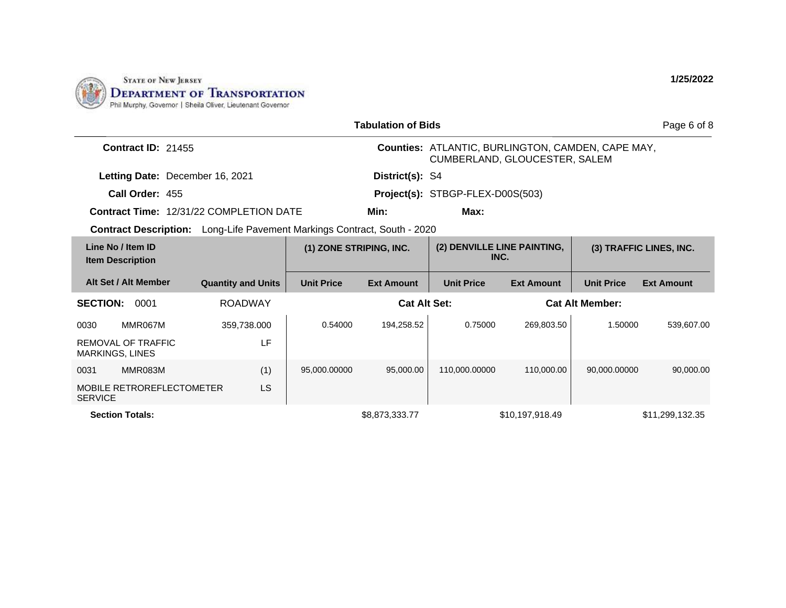

| <b>Tabulation of Bids</b><br>Page 6 of 8           |                                                                                 |                         |                   |                                                                                           |                                     |                   |                         |  |
|----------------------------------------------------|---------------------------------------------------------------------------------|-------------------------|-------------------|-------------------------------------------------------------------------------------------|-------------------------------------|-------------------|-------------------------|--|
| Contract ID: 21455                                 |                                                                                 |                         |                   | <b>Counties: ATLANTIC, BURLINGTON, CAMDEN, CAPE MAY,</b><br>CUMBERLAND, GLOUCESTER, SALEM |                                     |                   |                         |  |
| Letting Date: December 16, 2021                    |                                                                                 |                         | District(s): S4   |                                                                                           |                                     |                   |                         |  |
| Call Order: 455                                    |                                                                                 |                         |                   | Project(s): STBGP-FLEX-D00S(503)                                                          |                                     |                   |                         |  |
| <b>Contract Time: 12/31/22 COMPLETION DATE</b>     |                                                                                 |                         | Min:              | Max:                                                                                      |                                     |                   |                         |  |
|                                                    | <b>Contract Description:</b> Long-Life Pavement Markings Contract, South - 2020 |                         |                   |                                                                                           |                                     |                   |                         |  |
| Line No / Item ID<br><b>Item Description</b>       |                                                                                 | (1) ZONE STRIPING, INC. |                   |                                                                                           | (2) DENVILLE LINE PAINTING,<br>INC. |                   | (3) TRAFFIC LINES, INC. |  |
| Alt Set / Alt Member                               | <b>Quantity and Units</b>                                                       | <b>Unit Price</b>       | <b>Ext Amount</b> | <b>Unit Price</b>                                                                         | <b>Ext Amount</b>                   | <b>Unit Price</b> | <b>Ext Amount</b>       |  |
| <b>SECTION:</b><br>0001                            | <b>ROADWAY</b>                                                                  |                         |                   | <b>Cat Alt Set:</b>                                                                       |                                     |                   | <b>Cat Alt Member:</b>  |  |
| 0030<br>MMR067M                                    | 359,738.000                                                                     | 0.54000                 | 194.258.52        | 0.75000                                                                                   | 269.803.50                          | 1.50000           | 539,607.00              |  |
| REMOVAL OF TRAFFIC<br><b>MARKINGS, LINES</b>       | LF                                                                              |                         |                   |                                                                                           |                                     |                   |                         |  |
| MMR083M<br>0031                                    | (1)                                                                             | 95,000.00000            | 95,000,00         | 110,000.00000                                                                             | 110.000.00                          | 90.000.00000      | 90,000.00               |  |
| <b>MOBILE RETROREFLECTOMETER</b><br><b>SERVICE</b> | LS                                                                              |                         |                   |                                                                                           |                                     |                   |                         |  |
| <b>Section Totals:</b>                             |                                                                                 |                         | \$8,873,333.77    |                                                                                           | \$10,197,918.49                     |                   | \$11,299,132.35         |  |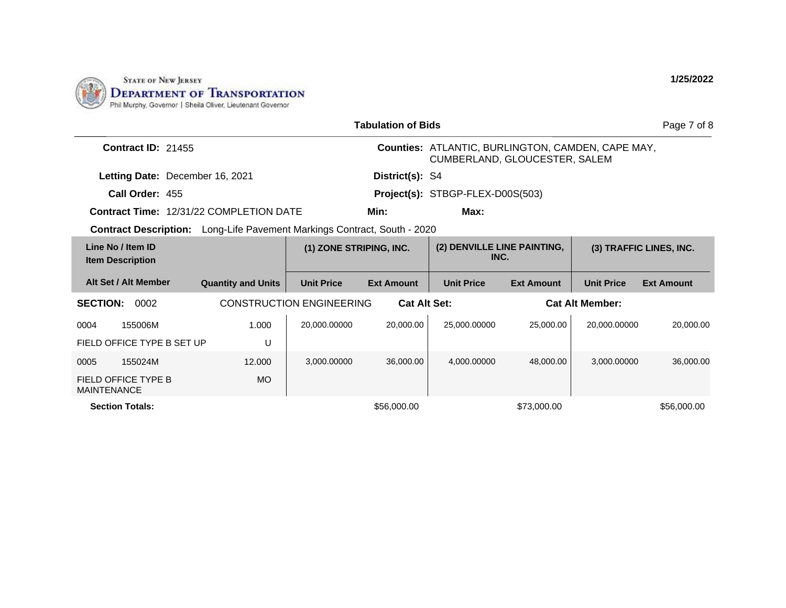

| <b>Tabulation of Bids</b><br>Page 7 of 8      |                                                                                 |                                 |                   |                                                                                           |                   |                   |                         |  |
|-----------------------------------------------|---------------------------------------------------------------------------------|---------------------------------|-------------------|-------------------------------------------------------------------------------------------|-------------------|-------------------|-------------------------|--|
| <b>Contract ID: 21455</b>                     |                                                                                 |                                 |                   | <b>Counties: ATLANTIC, BURLINGTON, CAMDEN, CAPE MAY,</b><br>CUMBERLAND, GLOUCESTER, SALEM |                   |                   |                         |  |
| Letting Date: December 16, 2021               |                                                                                 |                                 | District(s): S4   |                                                                                           |                   |                   |                         |  |
| Call Order: 455                               |                                                                                 |                                 |                   | Project(s): STBGP-FLEX-D00S(503)                                                          |                   |                   |                         |  |
|                                               | <b>Contract Time: 12/31/22 COMPLETION DATE</b>                                  |                                 | Min:              | Max:                                                                                      |                   |                   |                         |  |
|                                               | <b>Contract Description:</b> Long-Life Pavement Markings Contract, South - 2020 |                                 |                   |                                                                                           |                   |                   |                         |  |
| Line No / Item ID<br><b>Item Description</b>  |                                                                                 | (1) ZONE STRIPING, INC.         |                   | (2) DENVILLE LINE PAINTING,<br>INC.                                                       |                   |                   | (3) TRAFFIC LINES, INC. |  |
| Alt Set / Alt Member                          | <b>Quantity and Units</b>                                                       | <b>Unit Price</b>               | <b>Ext Amount</b> | <b>Unit Price</b>                                                                         | <b>Ext Amount</b> | <b>Unit Price</b> | <b>Ext Amount</b>       |  |
| <b>SECTION:</b><br>0002                       |                                                                                 | <b>CONSTRUCTION ENGINEERING</b> |                   | <b>Cat Alt Set:</b><br><b>Cat Alt Member:</b>                                             |                   |                   |                         |  |
| 0004<br>155006M<br>FIELD OFFICE TYPE B SET UP | 1.000<br>U                                                                      | 20,000.00000                    | 20,000.00         | 25,000.00000                                                                              | 25,000.00         | 20.000.00000      | 20,000.00               |  |
| 0005<br>155024M                               | 12.000                                                                          | 3,000.00000                     | 36,000.00         | 4,000.00000                                                                               | 48.000.00         | 3,000.00000       | 36,000.00               |  |
| FIELD OFFICE TYPE B<br><b>MAINTENANCE</b>     | <b>MO</b>                                                                       |                                 |                   |                                                                                           |                   |                   |                         |  |
| <b>Section Totals:</b>                        |                                                                                 |                                 | \$56,000.00       |                                                                                           | \$73,000.00       |                   | \$56,000.00             |  |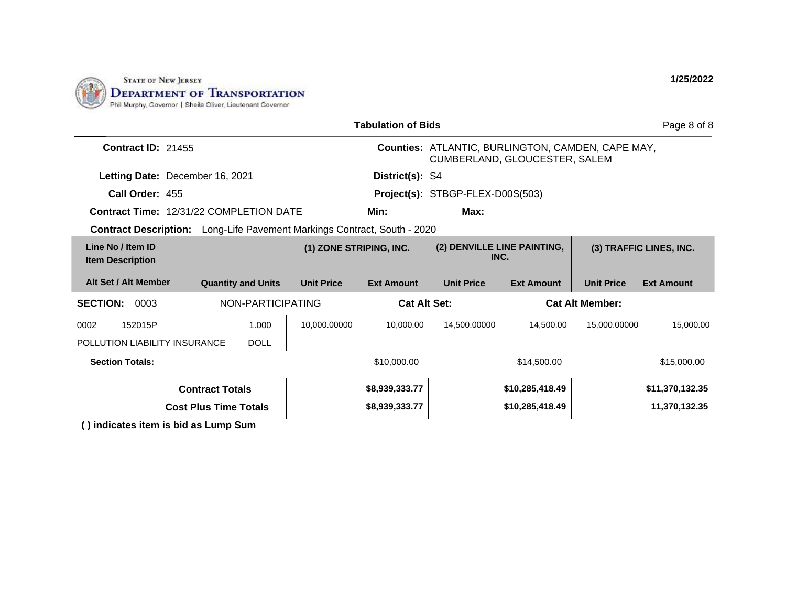

|                                                                          |                              |                         | <b>Tabulation of Bids</b> |                                                                                           |                   |                        | Page 8 of 8             |
|--------------------------------------------------------------------------|------------------------------|-------------------------|---------------------------|-------------------------------------------------------------------------------------------|-------------------|------------------------|-------------------------|
| <b>Contract ID: 21455</b>                                                |                              |                         |                           | <b>Counties: ATLANTIC, BURLINGTON, CAMDEN, CAPE MAY,</b><br>CUMBERLAND, GLOUCESTER, SALEM |                   |                        |                         |
| Letting Date: December 16, 2021                                          |                              |                         | District(s): S4           |                                                                                           |                   |                        |                         |
| Call Order: 455                                                          |                              |                         |                           | Project(s): STBGP-FLEX-D00S(503)                                                          |                   |                        |                         |
| <b>Contract Time: 12/31/22 COMPLETION DATE</b>                           |                              |                         | Min:                      | Max:                                                                                      |                   |                        |                         |
| Contract Description: Long-Life Pavement Markings Contract, South - 2020 |                              |                         |                           |                                                                                           |                   |                        |                         |
| Line No / Item ID<br><b>Item Description</b>                             |                              | (1) ZONE STRIPING, INC. |                           | (2) DENVILLE LINE PAINTING,<br>INC.                                                       |                   |                        | (3) TRAFFIC LINES, INC. |
| Alt Set / Alt Member                                                     | <b>Quantity and Units</b>    | <b>Unit Price</b>       | <b>Ext Amount</b>         | <b>Unit Price</b>                                                                         | <b>Ext Amount</b> | <b>Unit Price</b>      | <b>Ext Amount</b>       |
| <b>SECTION:</b><br>0003                                                  | NON-PARTICIPATING            |                         | <b>Cat Alt Set:</b>       |                                                                                           |                   | <b>Cat Alt Member:</b> |                         |
| 152015P<br>0002                                                          | 1.000                        | 10,000.00000            | 10.000.00                 | 14.500.00000                                                                              | 14.500.00         | 15,000.00000           | 15,000.00               |
| POLLUTION LIABILITY INSURANCE                                            | <b>DOLL</b>                  |                         |                           |                                                                                           |                   |                        |                         |
| <b>Section Totals:</b>                                                   |                              |                         | \$10,000.00               |                                                                                           | \$14,500.00       |                        | \$15,000.00             |
|                                                                          | <b>Contract Totals</b>       |                         | \$8,939,333.77            |                                                                                           | \$10,285,418.49   |                        | \$11,370,132.35         |
|                                                                          | <b>Cost Plus Time Totals</b> |                         | \$8,939,333.77            |                                                                                           | \$10,285,418.49   |                        | 11,370,132.35           |
| () indicates item is bid as Lump Sum                                     |                              |                         |                           |                                                                                           |                   |                        |                         |